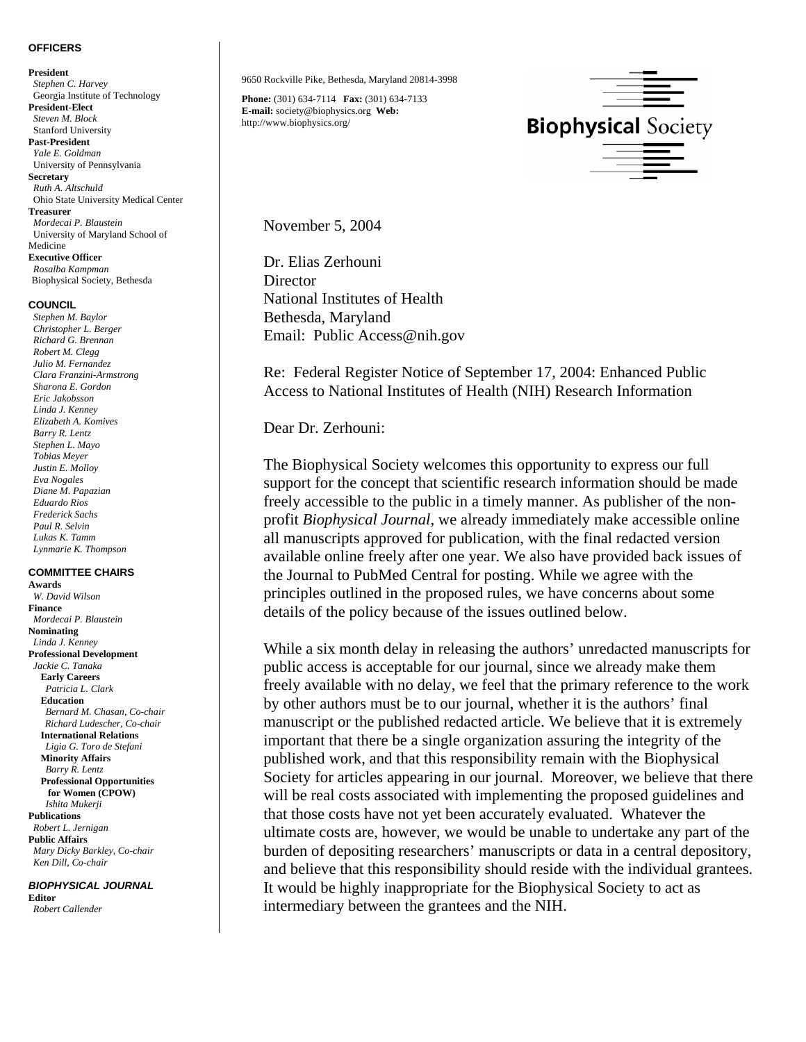## **OFFICERS**

**President** *Stephen C. Harvey*  Georgia Institute of Technology **President-Elect** *Steven M. Block*  Stanford University **Past-President**   *Yale E. Goldman* University of Pennsylvania **Secretary**   *Ruth A. Altschuld* Ohio State University Medical Center **Treasurer**   *Mordecai P. Blaustein*  University of Maryland School of Medicine **Executive Officer** 

 *Rosalba Kampman* Biophysical Society, Bethesda

## **COUNCIL**

*Stephen M. Baylor Christopher L. Berger Richard G. Brennan Robert M. Clegg Julio M. Fernandez Clara Franzini-Armstrong Sharona E. Gordon Eric Jakobsson Linda J. Kenney Elizabeth A. Komives Barry R. Lentz Stephen L. Mayo Tobias Meyer Justin E. Molloy Eva Nogales Diane M. Papazian Eduardo Rios Frederick Sachs Paul R. Selvin Lukas K. Tamm Lynmarie K. Thompson* 

## **COMMITTEE CHAIRS**

**Awards**  *W. David Wilson*  **Finance**  *Mordecai P. Blaustein*  **Nominating**   *Linda J. Kenney* **Professional Development**   *Jackie C. Tanaka*   **Early Careers** *Patricia L. Clark*  **Education**   *Bernard M. Chasan, Co-chair Richard Ludescher, Co-chair*   **International Relations**   *Ligia G. Toro de Stefani*   **Minority Affairs**   *Barry R. Lentz*   **Professional Opportunities for Women (CPOW)**   *Ishita Mukerji*  **Publications**  *Robert L. Jernigan*  **Public Affairs**  *Mary Dicky Barkley, Co-chair Ken Dill, Co-chair*

*BIOPHYSICAL JOURNAL*  **Editor** *Robert Callender* 

9650 Rockville Pike, Bethesda, Maryland 20814-3998

**Phone:** (301) 634-7114 **Fax:** (301) 634-7133 **E-mail:** society@biophysics.org **Web:** http://www.biophysics.org/



November 5, 2004

Dr. Elias Zerhouni **Director** National Institutes of Health Bethesda, Maryland Email: Public Access@nih.gov

Re: Federal Register Notice of September 17, 2004: Enhanced Public Access to National Institutes of Health (NIH) Research Information

Dear Dr. Zerhouni:

The Biophysical Society welcomes this opportunity to express our full support for the concept that scientific research information should be made freely accessible to the public in a timely manner. As publisher of the nonprofit *Biophysical Journal*, we already immediately make accessible online all manuscripts approved for publication, with the final redacted version available online freely after one year. We also have provided back issues of the Journal to PubMed Central for posting. While we agree with the principles outlined in the proposed rules, we have concerns about some details of the policy because of the issues outlined below.

While a six month delay in releasing the authors' unredacted manuscripts for public access is acceptable for our journal, since we already make them freely available with no delay, we feel that the primary reference to the work by other authors must be to our journal, whether it is the authors' final manuscript or the published redacted article. We believe that it is extremely important that there be a single organization assuring the integrity of the published work, and that this responsibility remain with the Biophysical Society for articles appearing in our journal. Moreover, we believe that there will be real costs associated with implementing the proposed guidelines and that those costs have not yet been accurately evaluated. Whatever the ultimate costs are, however, we would be unable to undertake any part of the burden of depositing researchers' manuscripts or data in a central depository, and believe that this responsibility should reside with the individual grantees. It would be highly inappropriate for the Biophysical Society to act as intermediary between the grantees and the NIH.